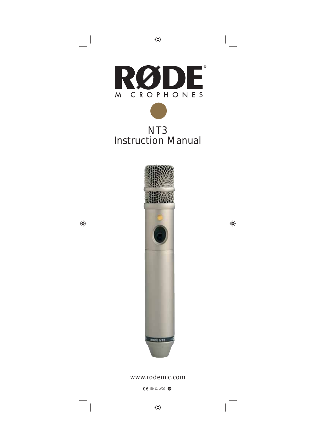

## NT3 Instruction Manual



## www.rodemic.com

(EMC, LVD)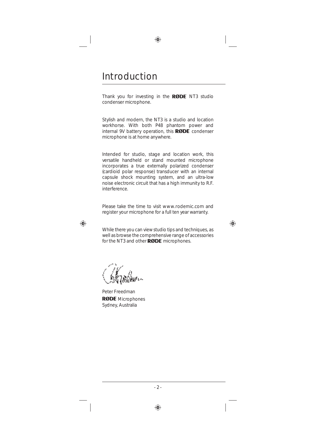## Introduction

Thank you for investing in the  $RØDE$  NT3 studio condenser microphone.

Stylish and modern, the NT3 is a studio and location workhorse. With both P48 phantom power and internal 9V battery operation, this  $RØDE$  condenser microphone is at home anywhere.

Intended for studio, stage and location work, this versatile handheld or stand mounted microphone incorporates a true externally polarized condenser (cardioid polar response) transducer with an internal capsule shock mounting system, and an ultra-low noise electronic circuit that has a high immunity to R.F. interference.

Please take the time to visit www.rodemic.com and register your microphone for a full ten year warranty.

While there you can view studio tips and techniques, as well as browse the comprehensive range of accessories for the NT3 and other **RØDE** microphones.

Peter Freedman **RØDE** Microphones Sydney, Australia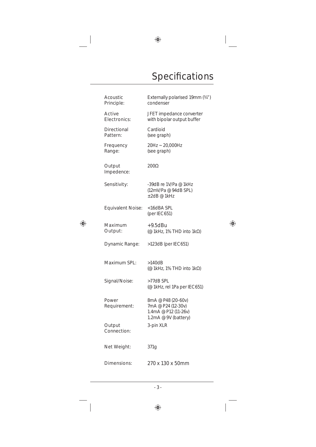# Specifications

| Acoustic<br>Principle:         | Externally polarised 19mm (34")<br>condenser                                             |
|--------------------------------|------------------------------------------------------------------------------------------|
| Active<br>Electronics:         | JFET impedance converter<br>with bipolar output buffer                                   |
| <b>Directional</b><br>Pattern: | Cardioid<br>(see graph)                                                                  |
| Frequency<br>Range:            | 20Hz ~ 20,000Hz<br>(see graph)                                                           |
| Output<br>Impedence:           | $200\Omega$                                                                              |
| Sensitivity:                   | -39dB re 1V/Pa @ 1kHz<br>(12mV/Pa @ 94dB SPL)<br>$\pm 2$ dB @ 1kHz                       |
| <b>Equivalent Noise:</b>       | <16dBA SPL<br>(per IEC651)                                                               |
| Maximum<br>Output:             | $+9.5$ dBu<br>(@ 1kHz, 1% THD into 1k $\Omega$ )                                         |
| Dynamic Range:                 | >123dB (per IEC651)                                                                      |
| Maximum SPL:                   | >140dB<br>(@ 1kHz, 1% THD into $1k\Omega$ )                                              |
| Signal/Noise:                  | $>77$ dB SPL<br>(@ 1kHz, rel 1Pa per IEC651)                                             |
| Power<br>Requirement:          | 8mA @ P48 (20-60v)<br>7mA @ P24 (12-30v)<br>1.4mA @ P12 (11-26v)<br>1.2mA @ 9V (battery) |
| Output<br>Connection:          | 3-pin XLR                                                                                |
| Net Weight:                    | 371g                                                                                     |
| Dimensions:                    | 270 x 130 x 50mm                                                                         |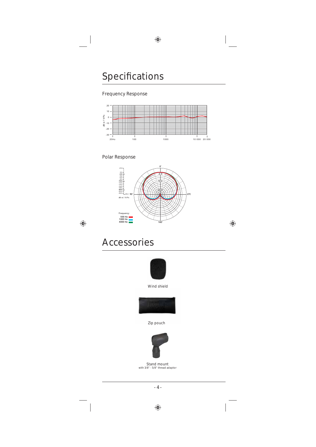#### Frequency Response



#### Polar Response





Wind shield



Zip pouch



Stand mount with 3/8" - 5/8" thread adaptor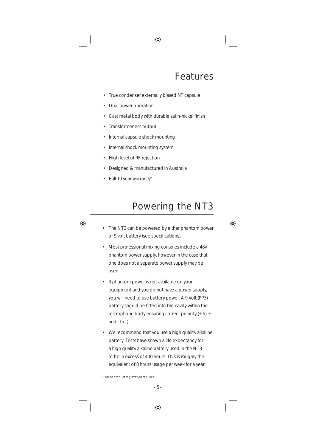- True condenser externally biased ¾" capsule
- Dual power operation
- Cast metal body with durable satin-nickel finish
- Transformerless output
- Internal capsule shock mounting
- Internal shock mounting system
- High level of RF rejection
- Designed & manufactured in Australia
- Full 10 year warranty\*

## Powering the NT3

- The NT3 can be powered by either phantom power or 9 volt battery (see specifications).
- Most professional mixing consoles include a 48v phantom power supply, however in the case that one does not a separate power supply may be used.
- If phantom power is not available on your equipment and you do not have a power supply, you will need to use battery power. A 9 Volt (PP3) battery should be fitted into the cavity within the microphone body ensuring correct polarity (+ to + and  $-$  to  $-$ ).
- We recommend that you use a high quality alkaline battery. Tests have shown a life expectancy for a high quality alkaline battery used in the NT3 to be in excess of 400 hours. This is roughly the equivalent of 8 hours usage per week for a year.

<sup>\*</sup>Online product registration required.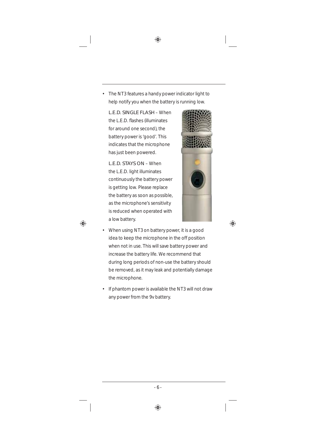The NT3 features a handy power indicator light to help notify you when the battery is running low.

 L.E.D. SINGLE FLASH – When the L.E.D. flashes (illuminates) for around one second), the battery power is 'good'. This indicates that the microphone has just been powered.

 L.E.D. STAYS ON – When the L.E.D. light illuminates continuously the battery power is getting low. Please replace the battery as soon as possible, as the microphone's sensitivity is reduced when operated with a low battery.



- When using NT3 on battery power, it is a good idea to keep the microphone in the off position when not in use. This will save battery power and increase the battery life. We recommend that during long periods of non-use the battery should be removed, as it may leak and potentially damage the microphone.
- If phantom power is available the NT3 will not draw any power from the 9v battery.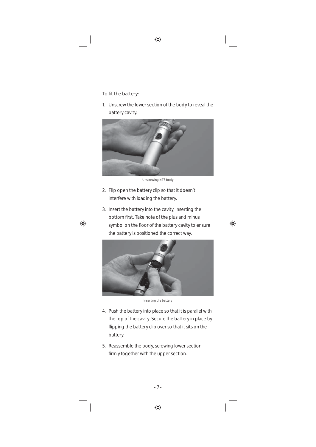#### To fit the battery:

1. Unscrew the lower section of the body to reveal the battery cavity.



Unscrewing NT3 body

- 2. Flip open the battery clip so that it doesn't interfere with loading the battery.
- 3. Insert the battery into the cavity, inserting the bottom first. Take note of the plus and minus symbol on the floor of the battery cavity to ensure the battery is positioned the correct way.



Inserting the battery

- 4. Push the battery into place so that it is parallel with the top of the cavity. Secure the battery in place by flipping the battery clip over so that it sits on the battery.
- 5. Reassemble the body, screwing lower section firmly together with the upper section.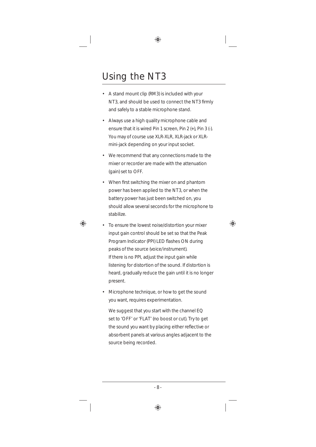# Using the NT3

- A stand mount clip (RM3) is included with your NT3, and should be used to connect the NT3 firmly and safely to a stable microphone stand.
- Always use a high quality microphone cable and ensure that it is wired Pin 1 screen, Pin 2 (+), Pin 3 (-). You may of course use XLR-XLR, XLR-jack or XLRmini-jack depending on your input socket.
- We recommend that any connections made to the mixer or recorder are made with the attenuation (gain) set to OFF.
- When first switching the mixer on and phantom power has been applied to the NT3, or when the battery power has just been switched on, you should allow several seconds for the microphone to stabilize.
- To ensure the lowest noise/distortion your mixer input gain control should be set so that the Peak Program Indicator (PPI) LED flashes ON during peaks of the source (voice/instrument). If there is no PPI, adjust the input gain while listening for distortion of the sound. If distortion is heard, gradually reduce the gain until it is no longer present.
- Microphone technique, or how to get the sound you want, requires experimentation.

We suggest that you start with the channel EQ set to 'OFF' or 'FLAT' (no boost or cut). Try to get the sound you want by placing either reflective or absorbent panels at various angles adjacent to the source being recorded.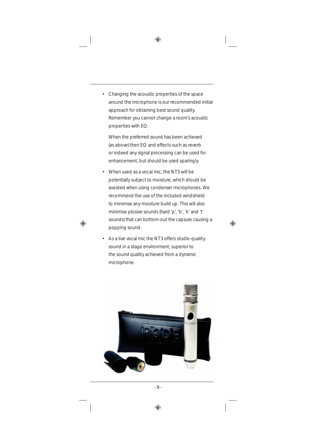• Changing the acoustic properties of the space around the microphone is our recommended initial approach for obtaining best sound quality. Remember you cannot change a room's acoustic properties with EQ.

 When the preferred sound has been achieved (as above) then EQ and effects such as reverb or indeed any signal processing can be used for enhancement, but should be used sparingly.

- When used as a vocal mic, the NT3 will be potentially subject to moisture, which should be avoided when using condenser microphones. We recommend the use of the included windshield to minimise any moisture build up. This will also minimise plosive sounds (hard 'p', 'b', 'k' and 't' sounds) that can bottom-out the capsule causing a popping sound.
- As a live vocal mic the NT3 offers studio-quality sound in a stage environment, superior to the sound quality achieved from a dynamic microphone.

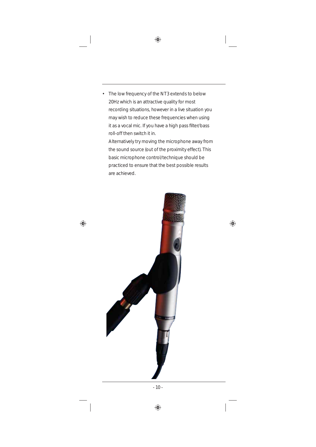The low frequency of the NT3 extends to below 20Hz which is an attractive quality for most recording situations, however in a live situation you may wish to reduce these frequencies when using it as a vocal mic. If you have a high pass filter/bass roll-off then switch it in.

Alternatively try moving the microphone away from the sound source (out of the proximity effect). This basic microphone control/technique should be practiced to ensure that the best possible results are achieved.

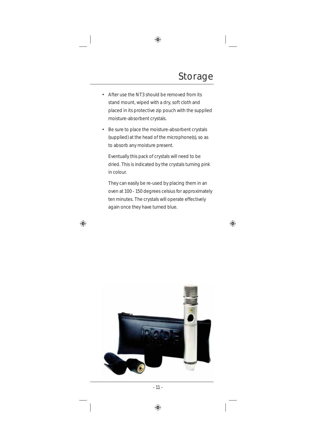- After use the NT3 should be removed from its stand mount, wiped with a dry, soft cloth and placed in its protective zip pouch with the supplied moisture-absorbent crystals.
- Be sure to place the moisture-absorbent crystals (supplied) at the head of the microphone(s), so as to absorb any moisture present.

 Eventually this pack of crystals will need to be dried. This is indicated by the crystals turning pink in colour.

 They can easily be re-used by placing them in an oven at 100 - 150 degrees celsius for approximately ten minutes. The crystals will operate effectively again once they have turned blue.